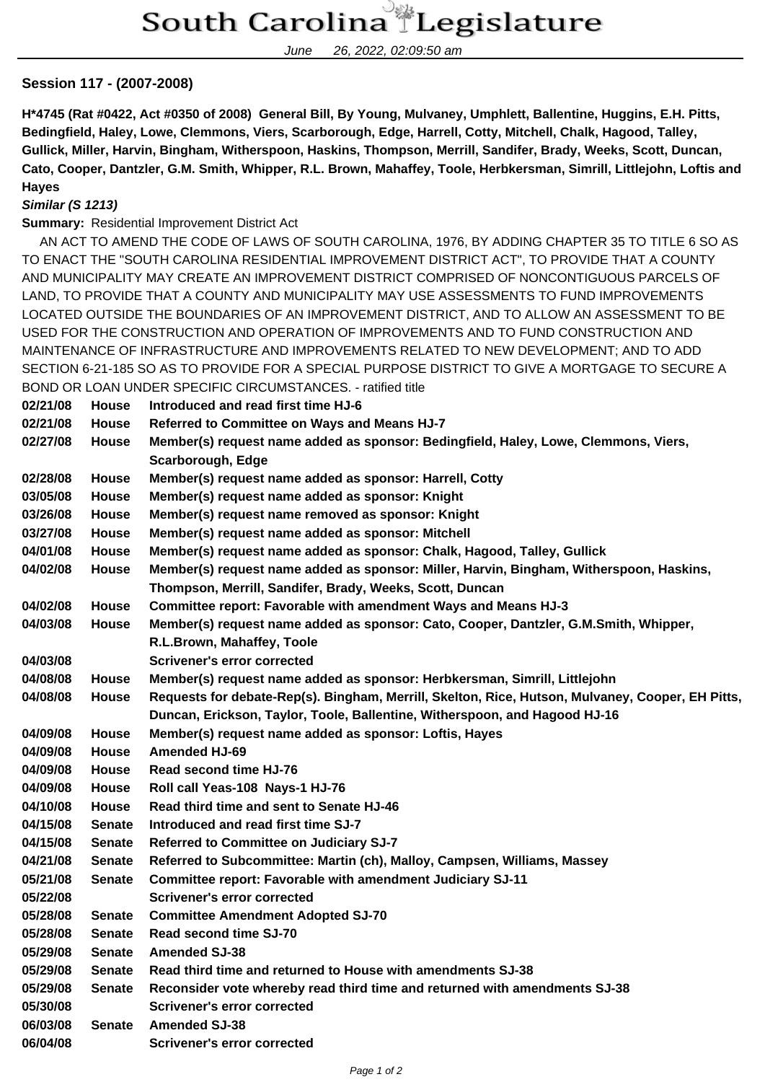June 26, 2022, 02:09:50 am

## **Session 117 - (2007-2008)**

**H\*4745 (Rat #0422, Act #0350 of 2008) General Bill, By Young, Mulvaney, Umphlett, Ballentine, Huggins, E.H. Pitts, Bedingfield, Haley, Lowe, Clemmons, Viers, Scarborough, Edge, Harrell, Cotty, Mitchell, Chalk, Hagood, Talley, Gullick, Miller, Harvin, Bingham, Witherspoon, Haskins, Thompson, Merrill, Sandifer, Brady, Weeks, Scott, Duncan, Cato, Cooper, Dantzler, G.M. Smith, Whipper, R.L. Brown, Mahaffey, Toole, Herbkersman, Simrill, Littlejohn, Loftis and Hayes**

## **Similar (S 1213)**

**Summary:** Residential Improvement District Act

 AN ACT TO AMEND THE CODE OF LAWS OF SOUTH CAROLINA, 1976, BY ADDING CHAPTER 35 TO TITLE 6 SO AS TO ENACT THE "SOUTH CAROLINA RESIDENTIAL IMPROVEMENT DISTRICT ACT", TO PROVIDE THAT A COUNTY AND MUNICIPALITY MAY CREATE AN IMPROVEMENT DISTRICT COMPRISED OF NONCONTIGUOUS PARCELS OF LAND, TO PROVIDE THAT A COUNTY AND MUNICIPALITY MAY USE ASSESSMENTS TO FUND IMPROVEMENTS LOCATED OUTSIDE THE BOUNDARIES OF AN IMPROVEMENT DISTRICT, AND TO ALLOW AN ASSESSMENT TO BE USED FOR THE CONSTRUCTION AND OPERATION OF IMPROVEMENTS AND TO FUND CONSTRUCTION AND MAINTENANCE OF INFRASTRUCTURE AND IMPROVEMENTS RELATED TO NEW DEVELOPMENT; AND TO ADD SECTION 6-21-185 SO AS TO PROVIDE FOR A SPECIAL PURPOSE DISTRICT TO GIVE A MORTGAGE TO SECURE A BOND OR LOAN UNDER SPECIFIC CIRCUMSTANCES. - ratified title

| 02/21/08 | <b>House</b>  | Introduced and read first time HJ-6                                                              |
|----------|---------------|--------------------------------------------------------------------------------------------------|
| 02/21/08 | <b>House</b>  | Referred to Committee on Ways and Means HJ-7                                                     |
| 02/27/08 | House         | Member(s) request name added as sponsor: Bedingfield, Haley, Lowe, Clemmons, Viers,              |
|          |               | Scarborough, Edge                                                                                |
| 02/28/08 | <b>House</b>  | Member(s) request name added as sponsor: Harrell, Cotty                                          |
| 03/05/08 | House         | Member(s) request name added as sponsor: Knight                                                  |
| 03/26/08 | House         | Member(s) request name removed as sponsor: Knight                                                |
| 03/27/08 | House         | Member(s) request name added as sponsor: Mitchell                                                |
| 04/01/08 | House         | Member(s) request name added as sponsor: Chalk, Hagood, Talley, Gullick                          |
| 04/02/08 | <b>House</b>  | Member(s) request name added as sponsor: Miller, Harvin, Bingham, Witherspoon, Haskins,          |
|          |               | Thompson, Merrill, Sandifer, Brady, Weeks, Scott, Duncan                                         |
| 04/02/08 | <b>House</b>  | Committee report: Favorable with amendment Ways and Means HJ-3                                   |
| 04/03/08 | House         | Member(s) request name added as sponsor: Cato, Cooper, Dantzler, G.M.Smith, Whipper,             |
|          |               | R.L.Brown, Mahaffey, Toole                                                                       |
| 04/03/08 |               | <b>Scrivener's error corrected</b>                                                               |
| 04/08/08 | <b>House</b>  | Member(s) request name added as sponsor: Herbkersman, Simrill, Littlejohn                        |
| 04/08/08 | <b>House</b>  | Requests for debate-Rep(s). Bingham, Merrill, Skelton, Rice, Hutson, Mulvaney, Cooper, EH Pitts, |
|          |               | Duncan, Erickson, Taylor, Toole, Ballentine, Witherspoon, and Hagood HJ-16                       |
| 04/09/08 | House         | Member(s) request name added as sponsor: Loftis, Hayes                                           |
| 04/09/08 | <b>House</b>  | <b>Amended HJ-69</b>                                                                             |
| 04/09/08 | <b>House</b>  | Read second time HJ-76                                                                           |
| 04/09/08 | House         | Roll call Yeas-108 Nays-1 HJ-76                                                                  |
| 04/10/08 | <b>House</b>  | Read third time and sent to Senate HJ-46                                                         |
| 04/15/08 | <b>Senate</b> | Introduced and read first time SJ-7                                                              |
| 04/15/08 | <b>Senate</b> | Referred to Committee on Judiciary SJ-7                                                          |
| 04/21/08 | <b>Senate</b> | Referred to Subcommittee: Martin (ch), Malloy, Campsen, Williams, Massey                         |
| 05/21/08 | <b>Senate</b> | Committee report: Favorable with amendment Judiciary SJ-11                                       |
| 05/22/08 |               | <b>Scrivener's error corrected</b>                                                               |
| 05/28/08 | <b>Senate</b> | <b>Committee Amendment Adopted SJ-70</b>                                                         |
| 05/28/08 | Senate        | Read second time SJ-70                                                                           |
| 05/29/08 | <b>Senate</b> | <b>Amended SJ-38</b>                                                                             |
| 05/29/08 | <b>Senate</b> | Read third time and returned to House with amendments SJ-38                                      |
| 05/29/08 | <b>Senate</b> | Reconsider vote whereby read third time and returned with amendments SJ-38                       |
| 05/30/08 |               | <b>Scrivener's error corrected</b>                                                               |
| 06/03/08 | Senate        | <b>Amended SJ-38</b>                                                                             |
| 06/04/08 |               | <b>Scrivener's error corrected</b>                                                               |